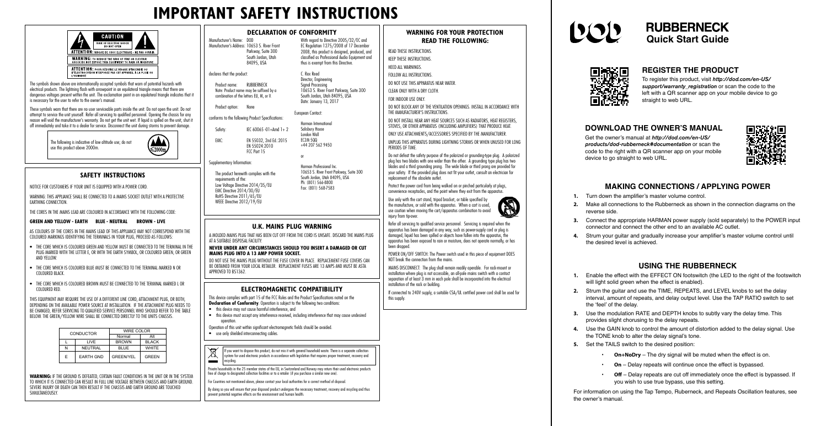# **IMPORTANT SAFETY INSTRUCTIONS**



## **WARNING FOR YOUR PROTECTION READ THE FOLLOWING:**

READ THESE INSTRUCTIONS. KEEP THESE INSTRUCTIONS.

- HEED ALL WARNINGS.
- FOLLOW ALL INSTRUCTIONS.
- DO NOT USE THIS APPARATUS NEAR WATER.

CLEAN ONLY WITH A DRY CLOTH.

FOR INDOOR USE ONLY.

DO NOT BLOCK ANY OF THE VENTILATION OPENINGS. INSTALL IN ACCORDANCE WITH THE MANUFACTURER'S INSTRUCTIONS.

DO NOT INSTALL NEAR ANY HEAT SOURCES SUCH AS RADIATORS, HEAT REGISTERS, STOVES, OR OTHER APPARATUS (INCLUDING AMPLIFIERS) THAT PRODUCE HEAT.

ONLY USE ATTACHMENTS/ACCESSORIES SPECIFIED BY THE MANUFACTURER.

UNPLUG THIS APPARATUS DURING LIGHTNING STORMS OR WHEN UNUSED FOR LONG PERIODS OF TIME.

Do not defeat the safety purpose of the polarized or grounding-type plug. A polarized plug has two blades with one wider than the other. A grounding type plug has two blades and a third grounding prong. The wide blade or third prong are provided for your safety. If the provided plug does not fit your outlet, consult an electrician for replacement of the obsolete outlet.

Protect the power cord from being walked on or pinched particularly at plugs, convenience receptacles, and the point where they exit from the apparatus.

Use only with the cart stand, tripod bracket, or table specified by the manufacture, or sold with the apparatus. When a cart is used, use caution when moving the cart/apparatus combination to avoid injury from tip-over.

This device complies with part 15 of the FCC Rules and the Product Specifications noted on the **Declaration of Conformity**. Operation is subject to the following two conditions:

- this device may not cause harmful interference, and
- this device must accept any interference received, including interference that may cause undesired operation.
- Operation of this unit within significant electromagnetic fields should be avoided.
- use only shielded interconnecting cables.
- $\cancel{R}$ If you want to dispose this product, do not mix it with general household waste. There is a separate collection system for used electronic products in accordance with legislation that requires proper treatment, recovery and recycling.  $\equiv$



 $\mathbb{R}$ 

POWER ON/OFF SWITCH: The Power switch used in this piece of equipment DOES NOT break the connection from the mains.

MAINS DISCONNECT: The plug shall remain readily operable. For rack-mount or installation where plug is not accessible, an all-pole mains switch with a contact separation of at least 3 mm in each pole shall be incorporated into the electrical installation of the rack or building.

If connected to 240V supply, a suitable CSA/UL certified power cord shall be used for this supply.

# $\left| \mathbf{Y}(\mathbf{Y}) \right|$



## **U.K. MAINS PLUG WARNING**

A MOLDED MAINS PLUG THAT HAS BEEN CUT OFF FROM THE CORD IS UNSAFE. DISCARD THE MAINS PLUG AT A SUITABLE DISPOSAL FACILITY.

#### **NEVER UNDER ANY CIRCUMSTANCES SHOULD YOU INSERT A DAMAGED OR CUT MAINS PLUG INTO A 13 AMP POWER SOCKET.**

DO NOT USE THE MAINS PLUG WITHOUT THE FUSE COVER IN PLACE. REPLACEMENT FUSE COVERS CAN BE OBTAINED FROM YOUR LOCAL RETAILER. REPLACEMENT FUSES ARE 13 AMPS AND MUST BE ASTA APPROVED TO BS1362.

AS COLOURS OF THE CORES IN THE MAINS LEAD OF THIS APPLIANCE MAY NOT CORRESPOND WITH THE COLOURED MARKINGS IDENTIFYING THE TERMINALS IN YOUR PLUG, PROCEED AS FOLLOWS:

## **ELECTROMAGNETIC COMPATIBILITY**

Manufacturer's Name: DOD Manufacturer's Address: 10653 S. River Front Parkway, Suite 300 South Jordan, Utah 84095, USA

Product name: RUBBERNECK Note: Product name may be suffixed by a combination of the letters EU, M, or V.

Private households in the 25 member states of the EU, in Switzerland and Norway may return their used electronic products free of charge to designated collection facilities or to a retailer (if you purchase a similar new one).

C. Rex Reed Director, Engineering Signal Processing

For Countries not mentioned above, please contact your local authorities for a correct method of disposal.

# **RUBBERNECK Quick Start Guide**



By doing so you will ensure that your disposed product undergoes the necessary treatment, recovery and recycling and thus prevent potential negative effects on the environment and human health.

The symbols shown above are internationally accepted symbols that warn of potential hazards with electrical products. The lightning flash with arrowpoint in an equilateral triangle means that there are dangerous voltages present within the unit. The exclamation point in an equilateral triangle indicates that it is necessary for the user to refer to the owner's manual.

These symbols warn that there are no user serviceable parts inside the unit. Do not open the unit. Do not attempt to service the unit yourself. Refer all servicing to qualified personnel. Opening the chassis for any reason will void the manufacturer's warranty. Do not get the unit wet. If liquid is spilled on the unit, shut it off immediately and take it to a dealer for service. Disconnect the unit during storms to prevent damage.

To register this product, visit *[http://dod.com/en-US/](http://dod.com/en-US/support/warranty_registration) [support/warranty\\_registration](http://dod.com/en-US/support/warranty_registration)* or scan the code to the left with a QR scanner app on your mobile device to go straight to web URL.

The following is indicative of low altitude use; do not use this product above 2000m.



## **SAFETY INSTRUCTIONS**

NOTICE FOR CUSTOMERS IF YOUR UNIT IS EQUIPPED WITH A POWER CORD.

WARNING: THIS APPLIANCE SHALL BE CONNECTED TO A MAINS SOCKET OUTLET WITH A PROTECTIVE EARTHING CONNECTION.

THE CORES IN THE MAINS LEAD ARE COLOURED IN ACCORDANCE WITH THE FOLLOWING CODE:

#### **GREEN AND YELLOW - EARTH BLUE - NEUTRAL BROWN - LIVE**

- THE CORE WHICH IS COLOURED GREEN AND YELLOW MUST BE CONNECTED TO THE TERMINAL IN THE PLUG MARKED WITH THE LETTER E, OR WITH THE EARTH SYMBOL, OR COLOURED GREEN, OR GREEN AND YELLOW.
- THE CORE WHICH IS COLOURED BLUE MUST BE CONNECTED TO THE TERMINAL MARKED N OR COLOURED BLACK.
- THE CORE WHICH IS COLOURED BROWN MUST BE CONNECTED TO THE TERMINAL MARKED L OR COLOURED RED.

THIS EQUIPMENT MAY REQUIRE THE USE OF A DIFFERENT LINE CORD, ATTACHMENT PLUG, OR BOTH, DEPENDING ON THE AVAILABLE POWER SOURCE AT INSTALLATION. IF THE ATTACHMENT PLUG NEEDS TO BE CHANGED, REFER SERVICING TO QUALIFIED SERVICE PERSONNEL WHO SHOULD REFER TO THE TABLE BELOW. THE GREEN/YELLOW WIRE SHALL BE CONNECTED DIRECTLY TO THE UNITS CHASSIS.

| <b>CONDUCTOR</b> |                  | WIRE COLOR       |              |  |
|------------------|------------------|------------------|--------------|--|
|                  |                  | Normal           | Alt          |  |
|                  | LIVE             | <b>BROWN</b>     | <b>BLACK</b> |  |
| N                | <b>NEUTRAL</b>   | <b>BLUE</b>      | <b>WHITE</b> |  |
| F                | <b>EARTH GND</b> | <b>GREEN/YEL</b> | GREEN        |  |

WARNING: IF THE GROUND IS DEFEATED, CERTAIN FAULT CONDITIONS IN THE LINIT OR IN THE SYSTEM TO WHICH IT IS CONNECTED CAN RESULT IN FULL LINE VOLTAGE BETWEEN CHASSIS AND EARTH GROUND. SEVERE INJURY OR DEATH CAN THEN RESULT IF THE CHASSIS AND FARTH GROUND ARE TOUCHED SIMIIITANFOUSLY

## **DECLARATION OF CONFORMITY**

## declares that the product:

Product option: None

conforms to the following Product Specifications:  $Safatv:$  IEC 60065 -01+Amd 1+ 2 EMC: EN 55032, 2nd Ed.:2015 EN 55024:2010

FCC Part 15

Supplementary Information:

The product herewith complies with the requirements of the: Low Voltage Directive 2014/35/EU EMC Directive 2014/30/EU RoHS Directive 2011/65/EU WEEE Directive 2012/19/EU

With regard to Directive 2005/32/EC and EC Regulation 1275/2008 of 17 December 2008, this product is designed, produced, and classified as Professional Audio Equipment and thus is exempt from this Directive.

10653 S. River Front Parkway, Suite 300 South Jordan, Utah 84095, USA Date: January 13, 2017

European Contact: Harman International Salisbury House London Wall EC2M 5QQ +44 207 562 9450

or

Harman Professional Inc.

10653 S. River Front Parkway, Suite 300 South Jordan, Utah 84095, USA Ph: (801) 566-8800 Fax: (801) 568-7583

# **MAKING CONNECTIONS / APPLYING POWER**

**1.** Turn down the amplifier's master volume control.

**2.** Make all connections to the Rubberneck as shown in the connection diagrams on the

**3.** Connect the appropriate HARMAN power supply (sold separately) to the POWER input connector and connect the other end to an available AC outlet.

**4.** Strum your guitar and gradually increase your amplifier's master volume control until

# **USING THE RUBBERNECK**

- 
- reverse side.
- 
- the desired level is achieved.
- 
- the 'feel' of the delay.
- 
- - -
	-
	-

**1.** Enable the effect with the EFFECT ON footswitch (the LED to the right of the footswitch will light solid green when the effect is enabled).

**2.** Strum the guitar and use the TIME, REPEATS, and LEVEL knobs to set the delay interval, amount of repeats, and delay output level. Use the TAP RATIO switch to set

**3.** Use the modulation RATE and DEPTH knobs to subtly vary the delay time. This provides slight chorusing to the delay repeats.

**4.** Use the GAIN knob to control the amount of distortion added to the delay signal. Use the TONE knob to alter the delay signal's tone.

**5.** Set the TAILS switch to the desired position:

• **On+NoDry** – The dry signal will be muted when the effect is on.

• **On** – Delay repeats will continue once the effect is bypassed.

• **Off** – Delay repeats are cut off immediately once the effect is bypassed. If you wish to use true bypass, use this setting.

For information on using the Tap Tempo, Ruberneck, and Repeats Oscillation features, see

the owner's manual.

Get the owner's manual at *[http://dod.com/en-US/](http://dod.com/en-US/products/dod-rubberneck#documentation) [products/dod-rubberneck#documentation](http://dod.com/en-US/products/dod-rubberneck#documentation)* or scan the code to the right with a QR scanner app on your mobile device to go straight to web URL.



# **DOWNLOAD THE OWNER'S MANUAL**

# **REGISTER THE PRODUCT**